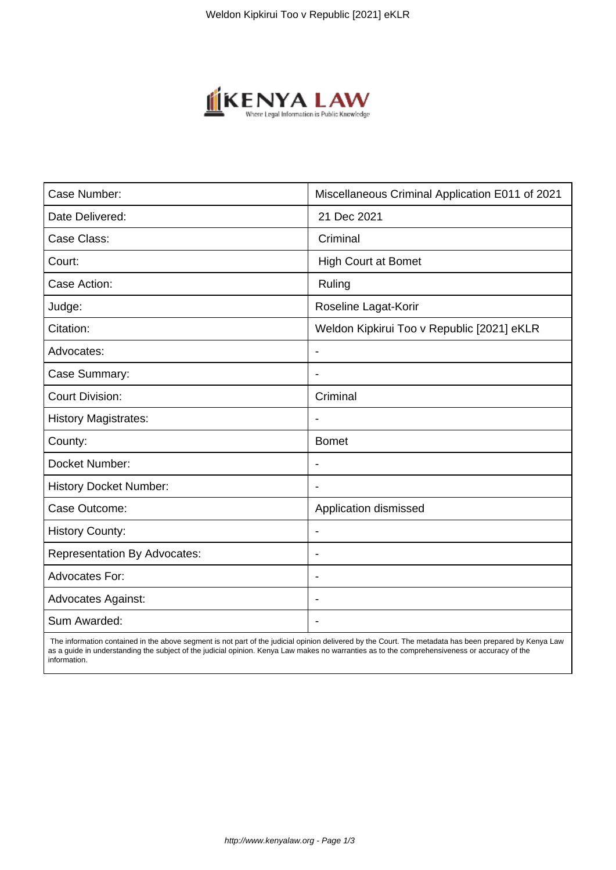

| Case Number:                        | Miscellaneous Criminal Application E011 of 2021 |
|-------------------------------------|-------------------------------------------------|
| Date Delivered:                     | 21 Dec 2021                                     |
| Case Class:                         | Criminal                                        |
| Court:                              | High Court at Bomet                             |
| Case Action:                        | Ruling                                          |
| Judge:                              | Roseline Lagat-Korir                            |
| Citation:                           | Weldon Kipkirui Too v Republic [2021] eKLR      |
| Advocates:                          | $\blacksquare$                                  |
| Case Summary:                       |                                                 |
| <b>Court Division:</b>              | Criminal                                        |
| <b>History Magistrates:</b>         |                                                 |
| County:                             | <b>Bomet</b>                                    |
| Docket Number:                      |                                                 |
| <b>History Docket Number:</b>       |                                                 |
| Case Outcome:                       | Application dismissed                           |
| <b>History County:</b>              | $\blacksquare$                                  |
| <b>Representation By Advocates:</b> | $\blacksquare$                                  |
| <b>Advocates For:</b>               | $\blacksquare$                                  |
| <b>Advocates Against:</b>           |                                                 |
| Sum Awarded:                        |                                                 |

 The information contained in the above segment is not part of the judicial opinion delivered by the Court. The metadata has been prepared by Kenya Law as a guide in understanding the subject of the judicial opinion. Kenya Law makes no warranties as to the comprehensiveness or accuracy of the information.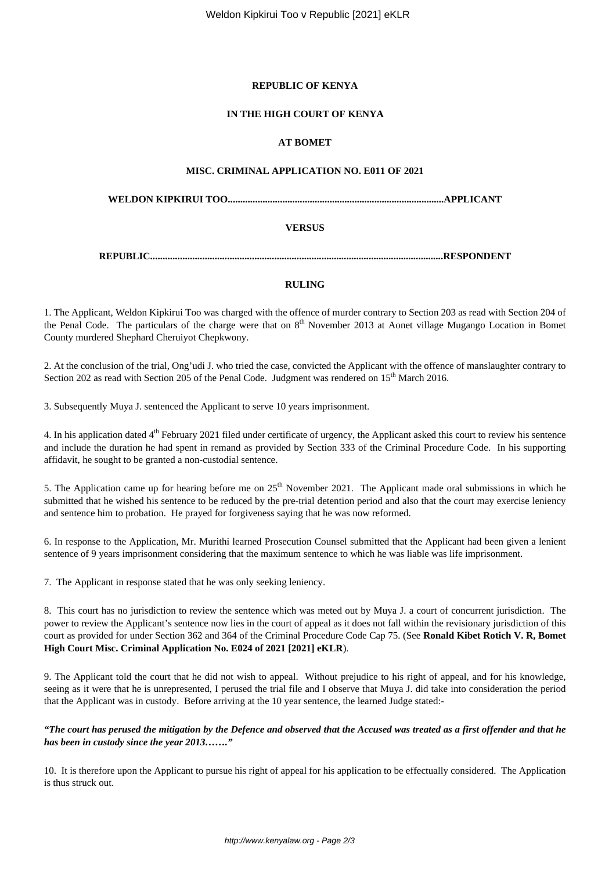## **REPUBLIC OF KENYA**

#### **IN THE HIGH COURT OF KENYA**

#### **AT BOMET**

#### **MISC. CRIMINAL APPLICATION NO. E011 OF 2021**

**WELDON KIPKIRUI TOO.......................................................................................APPLICANT**

#### **VERSUS**

**REPUBLIC......................................................................................................................RESPONDENT**

#### **RULING**

1. The Applicant, Weldon Kipkirui Too was charged with the offence of murder contrary to Section 203 as read with Section 204 of the Penal Code. The particulars of the charge were that on  $8<sup>th</sup>$  November 2013 at Aonet village Mugango Location in Bomet County murdered Shephard Cheruiyot Chepkwony.

2. At the conclusion of the trial, Ong'udi J. who tried the case, convicted the Applicant with the offence of manslaughter contrary to Section 202 as read with Section 205 of the Penal Code. Judgment was rendered on 15<sup>th</sup> March 2016.

3. Subsequently Muya J. sentenced the Applicant to serve 10 years imprisonment.

4. In his application dated 4<sup>th</sup> February 2021 filed under certificate of urgency, the Applicant asked this court to review his sentence and include the duration he had spent in remand as provided by Section 333 of the Criminal Procedure Code. In his supporting affidavit, he sought to be granted a non-custodial sentence.

5. The Application came up for hearing before me on 25<sup>th</sup> November 2021. The Applicant made oral submissions in which he submitted that he wished his sentence to be reduced by the pre-trial detention period and also that the court may exercise leniency and sentence him to probation. He prayed for forgiveness saying that he was now reformed.

6. In response to the Application, Mr. Murithi learned Prosecution Counsel submitted that the Applicant had been given a lenient sentence of 9 years imprisonment considering that the maximum sentence to which he was liable was life imprisonment.

7. The Applicant in response stated that he was only seeking leniency.

8. This court has no jurisdiction to review the sentence which was meted out by Muya J. a court of concurrent jurisdiction. The power to review the Applicant's sentence now lies in the court of appeal as it does not fall within the revisionary jurisdiction of this court as provided for under Section 362 and 364 of the Criminal Procedure Code Cap 75. (See **Ronald Kibet Rotich V. R, Bomet High Court Misc. Criminal Application No. E024 of 2021 [2021] eKLR**).

9. The Applicant told the court that he did not wish to appeal. Without prejudice to his right of appeal, and for his knowledge, seeing as it were that he is unrepresented, I perused the trial file and I observe that Muya J. did take into consideration the period that the Applicant was in custody. Before arriving at the 10 year sentence, the learned Judge stated:-

## *"The court has perused the mitigation by the Defence and observed that the Accused was treated as a first offender and that he has been in custody since the year 2013……."*

10. It is therefore upon the Applicant to pursue his right of appeal for his application to be effectually considered. The Application is thus struck out.